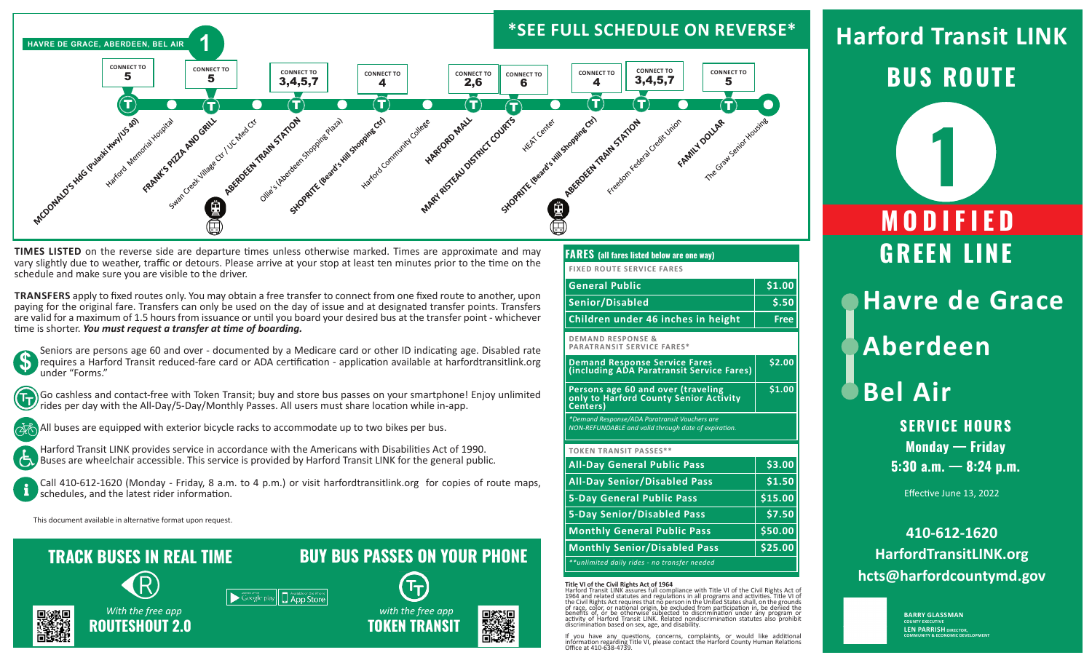

**TIMES LISTED** on the reverse side are departure times unless otherwise marked. Times are approximate and may vary slightly due to weather, traffic or detours. Please arrive at your stop at least ten minutes prior to the time on the schedule and make sure you are visible to the driver.

**TRANSFERS** apply to fixed routes only. You may obtain a free transfer to connect from one fixed route to another, upon paying for the original fare. Transfers can only be used on the day of issue and at designated transfer points. Transfers are valid for a maximum of 1.5 hours from issuance or until you board your desired bus at the transfer point - whichever time is shorter. *You must request a transfer at time of boarding.*



Seniors are persons age 60 and over - documented by a Medicare card or other ID indicating age. Disabled rate requires a Harford Transit reduced-fare card or ADA certification - application available at harfordtransitlink.org under "Forms."



占

Go cashless and contact-free with Token Transit; buy and store bus passes on your smartphone! Enjoy unlimited rides per day with the All-Day/5-Day/Monthly Passes. All users must share location while in-app.

All buses are equipped with exterior bicycle racks to accommodate up to two bikes per bus.

Harford Transit LINK provides service in accordance with the Americans with Disabilities Act of 1990. Buses are wheelchair accessible. This service is provided by Harford Transit LINK for the general public.

Call 410-612-1620 (Monday - Friday, 8 a.m. to 4 p.m.) or visit harfordtransitlink.org for copies of route maps, schedules, and the latest rider information.

Soogle play || App Store

This document available in alternative format upon request.

# **TRACK BUSES IN REAL TIME**



 *With the free app* **ROUTESHOUT 2.0**

## **FARES (all fares listed below are one way)**

**FIXED ROUTE SERVICE FARES**

| <b>General Public</b>              | \$1.00 |
|------------------------------------|--------|
| Senior/Disabled                    | S.50   |
| Children under 46 inches in height | Free   |

**DEMAND RESPONSE & PARATRANSIT SERVICE FARES\***

**Demand Response Service Fares (including ADA Paratransit Service Fares) \$2.00 Persons age 60 and over (traveling only to Harford County Senior Activity Centers) \$1.00**

*\*Demand Response/ADA Paratransit Vouchers are NON-REFUNDABLE and valid through date of expiration.*

### **TOKEN TRANSIT PASSES\*\***

| <b>All-Day General Public Pass</b>           | \$3.00  |
|----------------------------------------------|---------|
| <b>All-Day Senior/Disabled Pass</b>          | \$1.50  |
| <b>5-Day General Public Pass</b>             | \$15.00 |
| <b>5-Day Senior/Disabled Pass</b>            | \$7.50  |
| <b>Monthly General Public Pass</b>           | \$50.00 |
| <b>Monthly Senior/Disabled Pass</b>          | \$25.00 |
| **unlimited daily rides - no transfer needed |         |
|                                              |         |

**Title VI of the Civil Rights Act of 1964**<br>Harford Transit LINK assures full compliance with Title VI of the Civil Rights Act of<br>1964 and related statutes and regulations in all programs and activities. Title VI of<br>the Civ benefits of, or be otherwise subjected to discrimination under any program or activity of Harford Transit LINK. Related nondiscrimination statutes also prohibit discrimination based on sex, age, and disability.

If you have any questions, concerns, complaints, or would like additional information regarding Title VI, please contact the Harford County Human Relations Office at 410-638-4739.

# **BUS ROUTE Harford Transit LINK**



Effective June 13, 2022

**410-612-1620 HarfordTransitLINK.org hcts@harfordcountymd.gov**

> **BARRY GLASSMAN COUNTY EXECUTIV LEN PARRISH DIRECTOR, COMMUNITY & ECONOMIC DEVELOPMENT**



**BUY BUS PASSES ON YOUR PHONE**